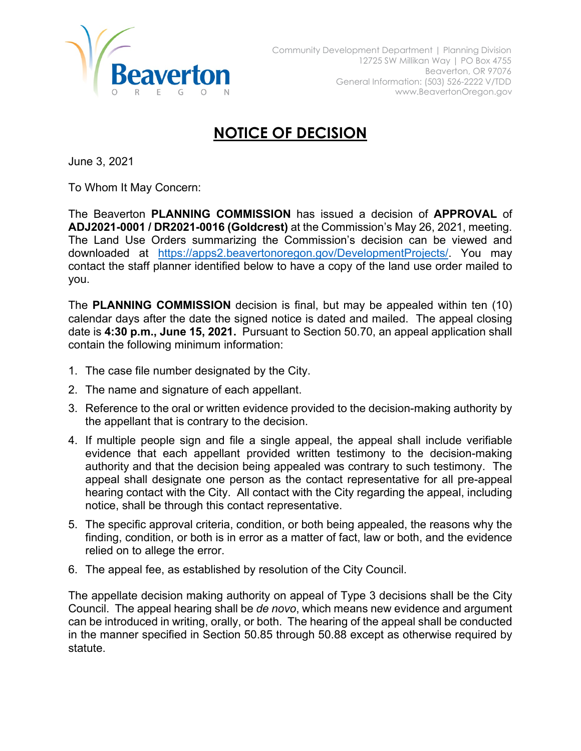

## **NOTICE OF DECISION**

June 3, 2021

To Whom It May Concern:

The Beaverton **PLANNING COMMISSION** has issued a decision of **APPROVAL** of **ADJ2021-0001 / DR2021-0016 (Goldcrest)** at the Commission's May 26, 2021, meeting. The Land Use Orders summarizing the Commission's decision can be viewed and downloaded at [https://apps2.beavertonoregon.gov/DevelopmentProjects/.](https://apps2.beavertonoregon.gov/DevelopmentProjects/) You may contact the staff planner identified below to have a copy of the land use order mailed to you.

The **PLANNING COMMISSION** decision is final, but may be appealed within ten (10) calendar days after the date the signed notice is dated and mailed. The appeal closing date is **4:30 p.m., June 15, 2021.** Pursuant to Section 50.70, an appeal application shall contain the following minimum information:

- 1. The case file number designated by the City.
- 2. The name and signature of each appellant.
- 3. Reference to the oral or written evidence provided to the decision-making authority by the appellant that is contrary to the decision.
- 4. If multiple people sign and file a single appeal, the appeal shall include verifiable evidence that each appellant provided written testimony to the decision-making authority and that the decision being appealed was contrary to such testimony. The appeal shall designate one person as the contact representative for all pre-appeal hearing contact with the City. All contact with the City regarding the appeal, including notice, shall be through this contact representative.
- 5. The specific approval criteria, condition, or both being appealed, the reasons why the finding, condition, or both is in error as a matter of fact, law or both, and the evidence relied on to allege the error.
- 6. The appeal fee, as established by resolution of the City Council.

The appellate decision making authority on appeal of Type 3 decisions shall be the City Council. The appeal hearing shall be *de novo*, which means new evidence and argument can be introduced in writing, orally, or both. The hearing of the appeal shall be conducted in the manner specified in Section 50.85 through 50.88 except as otherwise required by statute.